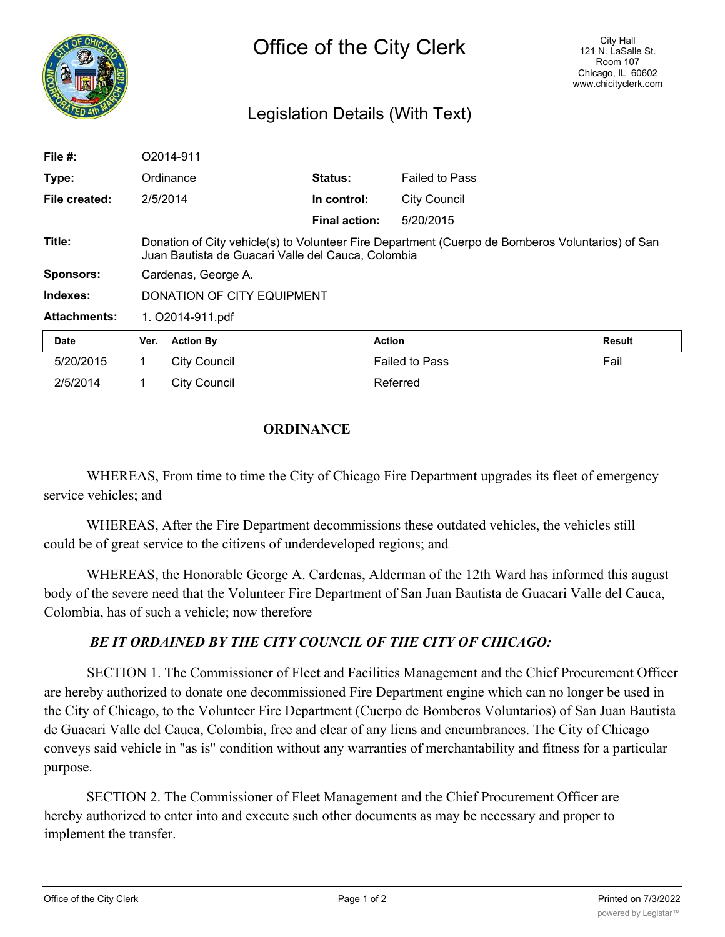

## Legislation Details (With Text)

| File $#$ :          |                                                                                                                                                        | O2014-911           |                      |                       |        |
|---------------------|--------------------------------------------------------------------------------------------------------------------------------------------------------|---------------------|----------------------|-----------------------|--------|
| Type:               |                                                                                                                                                        | Ordinance           | <b>Status:</b>       | <b>Failed to Pass</b> |        |
| File created:       | 2/5/2014                                                                                                                                               |                     | In control:          | <b>City Council</b>   |        |
|                     |                                                                                                                                                        |                     | <b>Final action:</b> | 5/20/2015             |        |
| Title:              | Donation of City vehicle(s) to Volunteer Fire Department (Cuerpo de Bomberos Voluntarios) of San<br>Juan Bautista de Guacari Valle del Cauca, Colombia |                     |                      |                       |        |
| <b>Sponsors:</b>    | Cardenas, George A.                                                                                                                                    |                     |                      |                       |        |
| Indexes:            | <b>DONATION OF CITY EQUIPMENT</b>                                                                                                                      |                     |                      |                       |        |
| <b>Attachments:</b> | 1. O2014-911.pdf                                                                                                                                       |                     |                      |                       |        |
| <b>Date</b>         | Ver.                                                                                                                                                   | <b>Action By</b>    |                      | <b>Action</b>         | Result |
| 5/20/2015           |                                                                                                                                                        | <b>City Council</b> |                      | <b>Failed to Pass</b> | Fail   |
| 2/5/2014            |                                                                                                                                                        | <b>City Council</b> |                      | Referred              |        |

## **ORDINANCE**

WHEREAS, From time to time the City of Chicago Fire Department upgrades its fleet of emergency service vehicles; and

WHEREAS, After the Fire Department decommissions these outdated vehicles, the vehicles still could be of great service to the citizens of underdeveloped regions; and

WHEREAS, the Honorable George A. Cardenas, Alderman of the 12th Ward has informed this august body of the severe need that the Volunteer Fire Department of San Juan Bautista de Guacari Valle del Cauca, Colombia, has of such a vehicle; now therefore

## *BE IT ORDAINED BY THE CITY COUNCIL OF THE CITY OF CHICAGO:*

SECTION 1. The Commissioner of Fleet and Facilities Management and the Chief Procurement Officer are hereby authorized to donate one decommissioned Fire Department engine which can no longer be used in the City of Chicago, to the Volunteer Fire Department (Cuerpo de Bomberos Voluntarios) of San Juan Bautista de Guacari Valle del Cauca, Colombia, free and clear of any liens and encumbrances. The City of Chicago conveys said vehicle in "as is" condition without any warranties of merchantability and fitness for a particular purpose.

SECTION 2. The Commissioner of Fleet Management and the Chief Procurement Officer are hereby authorized to enter into and execute such other documents as may be necessary and proper to implement the transfer.